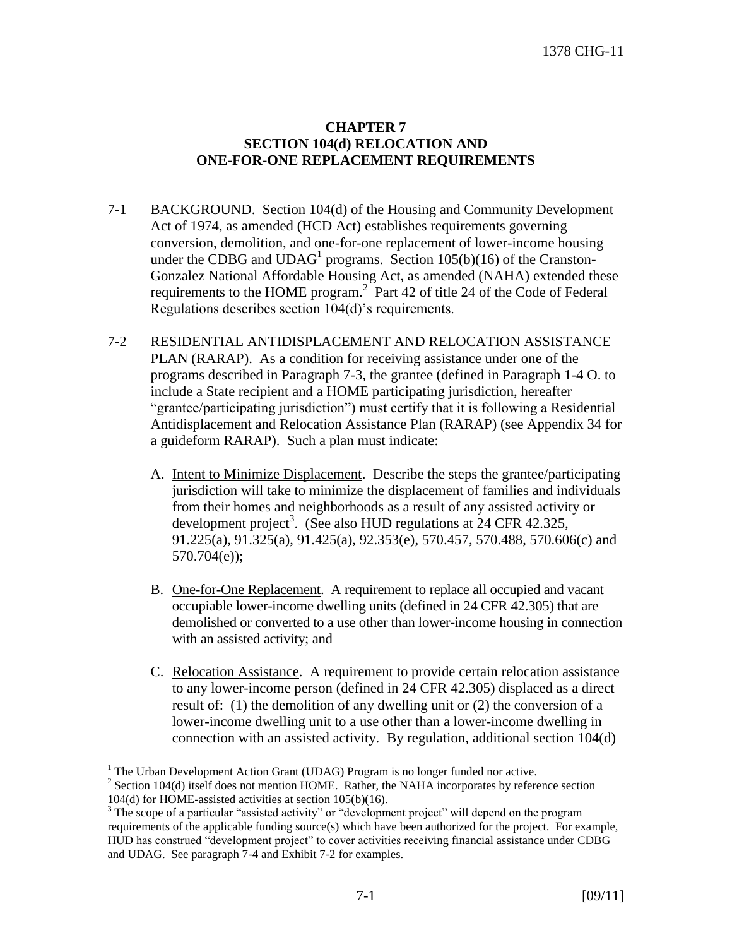## **CHAPTER 7 SECTION 104(d) RELOCATION AND ONE-FOR-ONE REPLACEMENT REQUIREMENTS**

- 7-1 BACKGROUND. Section 104(d) of the Housing and Community Development Act of 1974, as amended (HCD Act) establishes requirements governing conversion, demolition, and one-for-one replacement of lower-income housing under the CDBG and  $UDAG<sup>1</sup>$  programs. Section 105(b)(16) of the Cranston-Gonzalez National Affordable Housing Act, as amended (NAHA) extended these requirements to the HOME program.<sup>2</sup> Part 42 of title 24 of the Code of Federal Regulations describes section 104(d)'s requirements.
- 7-2 RESIDENTIAL ANTIDISPLACEMENT AND RELOCATION ASSISTANCE PLAN (RARAP). As a condition for receiving assistance under one of the programs described in Paragraph 7-3, the grantee (defined in Paragraph 1-4 O. to include a State recipient and a HOME participating jurisdiction, hereafter "grantee/participating jurisdiction") must certify that it is following a Residential Antidisplacement and Relocation Assistance Plan (RARAP) (see Appendix 34 for a guideform RARAP). Such a plan must indicate:
	- A. Intent to Minimize Displacement. Describe the steps the grantee/participating jurisdiction will take to minimize the displacement of families and individuals from their homes and neighborhoods as a result of any assisted activity or development project<sup>3</sup>. (See also HUD regulations at  $24$  CFR 42.325, 91.225(a), 91.325(a), 91.425(a), 92.353(e), 570.457, 570.488, 570.606(c) and 570.704(e));
	- B. One-for-One Replacement. A requirement to replace all occupied and vacant occupiable lower-income dwelling units (defined in 24 CFR 42.305) that are demolished or converted to a use other than lower-income housing in connection with an assisted activity; and
	- C. Relocation Assistance. A requirement to provide certain relocation assistance to any lower-income person (defined in 24 CFR 42.305) displaced as a direct result of: (1) the demolition of any dwelling unit or (2) the conversion of a lower-income dwelling unit to a use other than a lower-income dwelling in connection with an assisted activity. By regulation, additional section 104(d)

 $\overline{a}$ 

 $<sup>1</sup>$  The Urban Development Action Grant (UDAG) Program is no longer funded nor active.</sup>

 $2^2$  Section 104(d) itself does not mention HOME. Rather, the NAHA incorporates by reference section 104(d) for HOME-assisted activities at section 105(b)(16).

<sup>&</sup>lt;sup>3</sup> The scope of a particular "assisted activity" or "development project" will depend on the program requirements of the applicable funding source(s) which have been authorized for the project. For example, HUD has construed "development project" to cover activities receiving financial assistance under CDBG and UDAG. See paragraph 7-4 and Exhibit 7-2 for examples.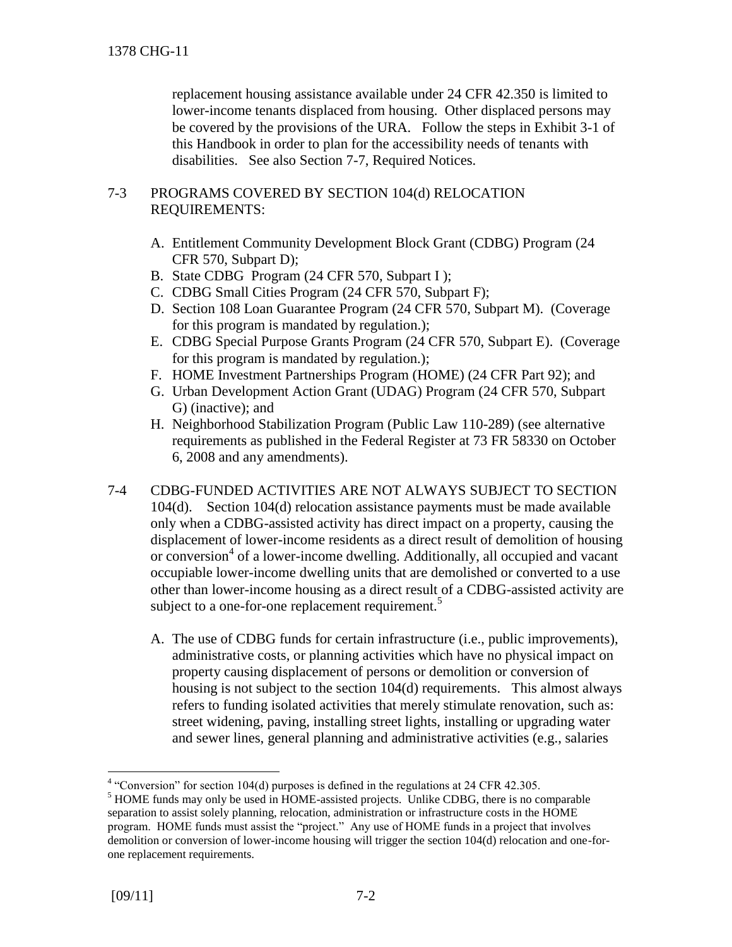replacement housing assistance available under 24 CFR 42.350 is limited to lower-income tenants displaced from housing. Other displaced persons may be covered by the provisions of the URA. Follow the steps in Exhibit 3-1 of this Handbook in order to plan for the accessibility needs of tenants with disabilities. See also Section 7-7, Required Notices.

## 7-3 PROGRAMS COVERED BY SECTION 104(d) RELOCATION REQUIREMENTS:

- A. Entitlement Community Development Block Grant (CDBG) Program (24 CFR 570, Subpart D);
- B. State CDBG Program (24 CFR 570, Subpart I );
- C. CDBG Small Cities Program (24 CFR 570, Subpart F);
- D. Section 108 Loan Guarantee Program (24 CFR 570, Subpart M). (Coverage for this program is mandated by regulation.);
- E. CDBG Special Purpose Grants Program (24 CFR 570, Subpart E). (Coverage for this program is mandated by regulation.);
- F. HOME Investment Partnerships Program (HOME) (24 CFR Part 92); and
- G. Urban Development Action Grant (UDAG) Program (24 CFR 570, Subpart G) (inactive); and
- H. Neighborhood Stabilization Program (Public Law 110-289) (see alternative requirements as published in the Federal Register at 73 FR 58330 on October 6, 2008 and any amendments).
- 7-4 CDBG-FUNDED ACTIVITIES ARE NOT ALWAYS SUBJECT TO SECTION 104(d). Section 104(d) relocation assistance payments must be made available only when a CDBG-assisted activity has direct impact on a property, causing the displacement of lower-income residents as a direct result of demolition of housing or conversion<sup>4</sup> of a lower-income dwelling. Additionally, all occupied and vacant occupiable lower-income dwelling units that are demolished or converted to a use other than lower-income housing as a direct result of a CDBG-assisted activity are subject to a one-for-one replacement requirement.<sup>5</sup>
	- A. The use of CDBG funds for certain infrastructure (i.e., public improvements), administrative costs, or planning activities which have no physical impact on property causing displacement of persons or demolition or conversion of housing is not subject to the section 104(d) requirements. This almost always refers to funding isolated activities that merely stimulate renovation, such as: street widening, paving, installing street lights, installing or upgrading water and sewer lines, general planning and administrative activities (e.g., salaries

 $\overline{a}$  $4$  "Conversion" for section 104(d) purposes is defined in the regulations at 24 CFR 42.305.

<sup>&</sup>lt;sup>5</sup> HOME funds may only be used in HOME-assisted projects. Unlike CDBG, there is no comparable separation to assist solely planning, relocation, administration or infrastructure costs in the HOME program. HOME funds must assist the "project." Any use of HOME funds in a project that involves demolition or conversion of lower-income housing will trigger the section 104(d) relocation and one-forone replacement requirements.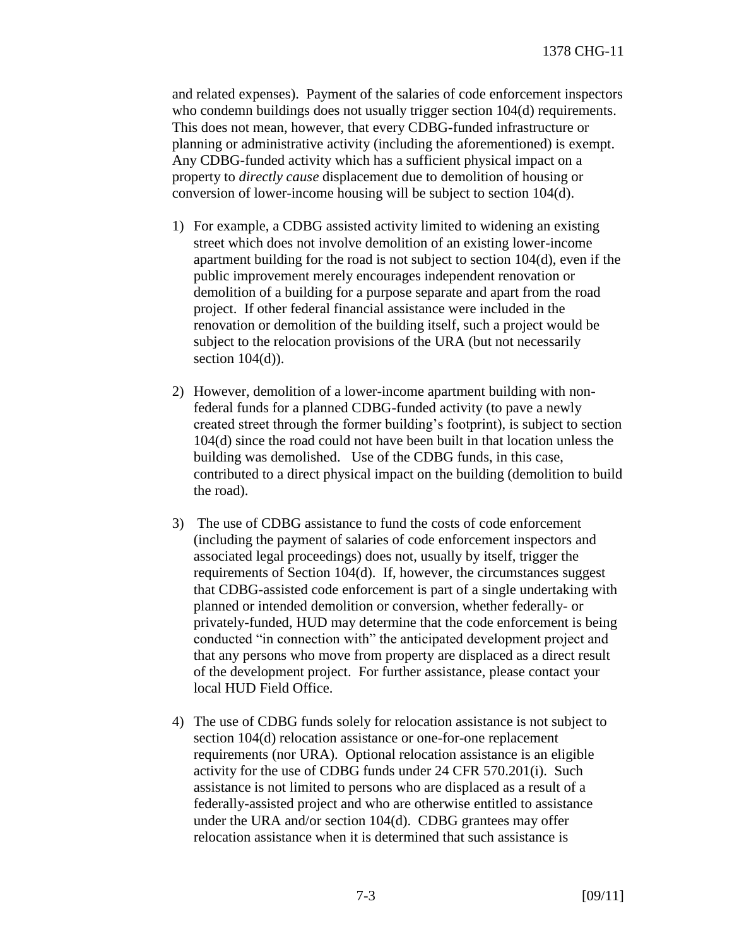and related expenses). Payment of the salaries of code enforcement inspectors who condemn buildings does not usually trigger section 104(d) requirements. This does not mean, however, that every CDBG-funded infrastructure or planning or administrative activity (including the aforementioned) is exempt. Any CDBG-funded activity which has a sufficient physical impact on a property to *directly cause* displacement due to demolition of housing or conversion of lower-income housing will be subject to section 104(d).

- 1) For example, a CDBG assisted activity limited to widening an existing street which does not involve demolition of an existing lower-income apartment building for the road is not subject to section 104(d), even if the public improvement merely encourages independent renovation or demolition of a building for a purpose separate and apart from the road project. If other federal financial assistance were included in the renovation or demolition of the building itself, such a project would be subject to the relocation provisions of the URA (but not necessarily section  $104(d)$ ).
- 2) However, demolition of a lower-income apartment building with nonfederal funds for a planned CDBG-funded activity (to pave a newly created street through the former building's footprint), is subject to section 104(d) since the road could not have been built in that location unless the building was demolished. Use of the CDBG funds, in this case, contributed to a direct physical impact on the building (demolition to build the road).
- 3) The use of CDBG assistance to fund the costs of code enforcement (including the payment of salaries of code enforcement inspectors and associated legal proceedings) does not, usually by itself, trigger the requirements of Section 104(d). If, however, the circumstances suggest that CDBG-assisted code enforcement is part of a single undertaking with planned or intended demolition or conversion, whether federally- or privately-funded, HUD may determine that the code enforcement is being conducted "in connection with" the anticipated development project and that any persons who move from property are displaced as a direct result of the development project. For further assistance, please contact your local HUD Field Office.
- 4) The use of CDBG funds solely for relocation assistance is not subject to section 104(d) relocation assistance or one-for-one replacement requirements (nor URA). Optional relocation assistance is an eligible activity for the use of CDBG funds under 24 CFR 570.201(i). Such assistance is not limited to persons who are displaced as a result of a federally-assisted project and who are otherwise entitled to assistance under the URA and/or section 104(d). CDBG grantees may offer relocation assistance when it is determined that such assistance is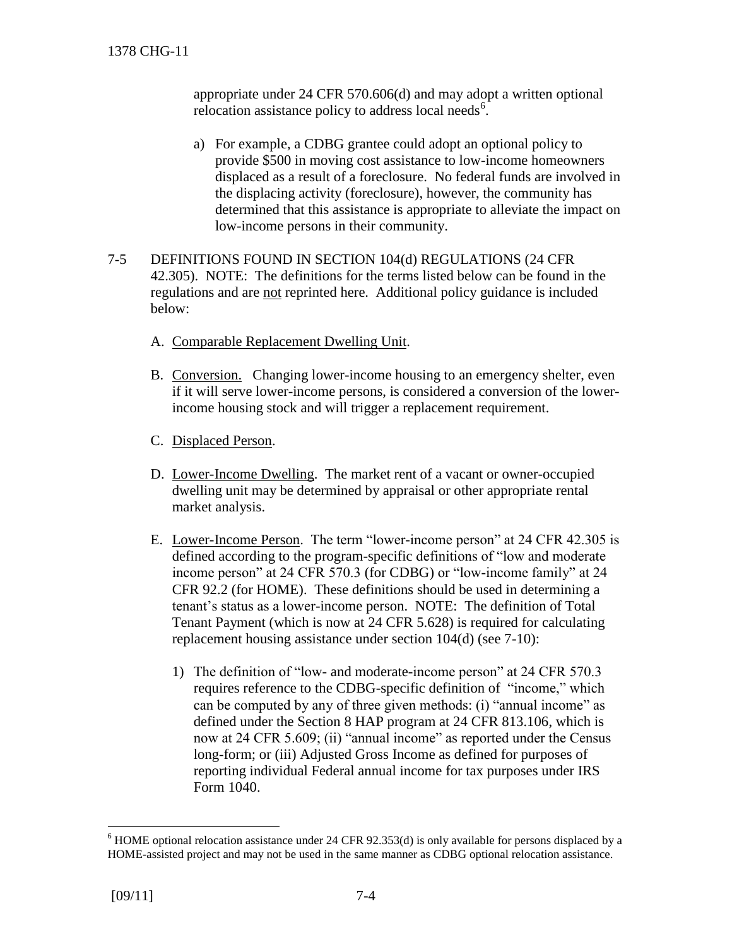appropriate under 24 CFR 570.606(d) and may adopt a written optional relocation assistance policy to address local needs<sup>6</sup>.

- a) For example, a CDBG grantee could adopt an optional policy to provide \$500 in moving cost assistance to low-income homeowners displaced as a result of a foreclosure. No federal funds are involved in the displacing activity (foreclosure), however, the community has determined that this assistance is appropriate to alleviate the impact on low-income persons in their community.
- 7-5 DEFINITIONS FOUND IN SECTION 104(d) REGULATIONS (24 CFR 42.305). NOTE: The definitions for the terms listed below can be found in the regulations and are not reprinted here. Additional policy guidance is included below:
	- A. Comparable Replacement Dwelling Unit.
	- B. Conversion. Changing lower-income housing to an emergency shelter, even if it will serve lower-income persons, is considered a conversion of the lowerincome housing stock and will trigger a replacement requirement.
	- C. Displaced Person.
	- D. Lower-Income Dwelling. The market rent of a vacant or owner-occupied dwelling unit may be determined by appraisal or other appropriate rental market analysis.
	- E. Lower-Income Person. The term "lower-income person" at 24 CFR 42.305 is defined according to the program-specific definitions of "low and moderate income person" at 24 CFR 570.3 (for CDBG) or "low-income family" at 24 CFR 92.2 (for HOME). These definitions should be used in determining a tenant's status as a lower-income person. NOTE: The definition of Total Tenant Payment (which is now at 24 CFR 5.628) is required for calculating replacement housing assistance under section 104(d) (see 7-10):
		- 1) The definition of "low- and moderate-income person" at 24 CFR 570.3 requires reference to the CDBG-specific definition of "income," which can be computed by any of three given methods: (i) "annual income" as defined under the Section 8 HAP program at 24 CFR 813.106, which is now at 24 CFR 5.609; (ii) "annual income" as reported under the Census long-form; or (iii) Adjusted Gross Income as defined for purposes of reporting individual Federal annual income for tax purposes under IRS Form 1040.

 $\overline{a}$ 

<sup>6</sup> HOME optional relocation assistance under 24 CFR 92.353(d) is only available for persons displaced by a HOME-assisted project and may not be used in the same manner as CDBG optional relocation assistance.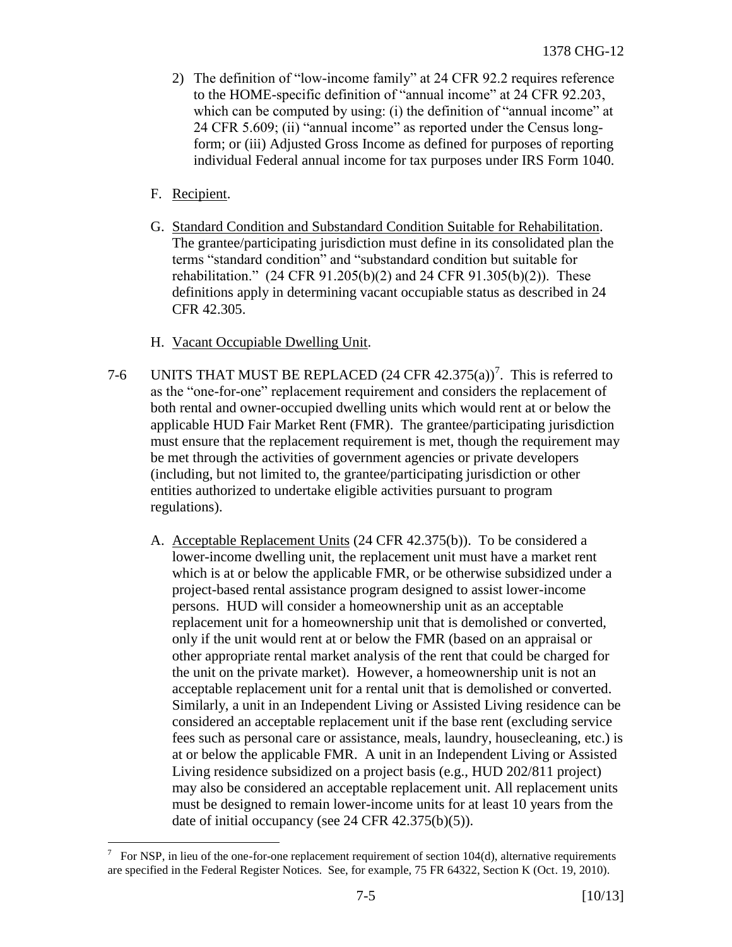- 2) The definition of "low-income family" at 24 CFR 92.2 requires reference to the HOME-specific definition of "annual income" at 24 CFR 92.203, which can be computed by using: (i) the definition of "annual income" at 24 CFR 5.609; (ii) "annual income" as reported under the Census longform; or (iii) Adjusted Gross Income as defined for purposes of reporting individual Federal annual income for tax purposes under IRS Form 1040.
- F. Recipient.
- G. Standard Condition and Substandard Condition Suitable for Rehabilitation. The grantee/participating jurisdiction must define in its consolidated plan the terms "standard condition" and "substandard condition but suitable for rehabilitation." (24 CFR 91.205(b)(2) and 24 CFR 91.305(b)(2)). These definitions apply in determining vacant occupiable status as described in 24 CFR 42.305.
- H. Vacant Occupiable Dwelling Unit.
- 7-6 UNITS THAT MUST BE REPLACED  $(24 \text{ CFR } 42.375(a))^7$ . This is referred to as the "one-for-one" replacement requirement and considers the replacement of both rental and owner-occupied dwelling units which would rent at or below the applicable HUD Fair Market Rent (FMR). The grantee/participating jurisdiction must ensure that the replacement requirement is met, though the requirement may be met through the activities of government agencies or private developers (including, but not limited to, the grantee/participating jurisdiction or other entities authorized to undertake eligible activities pursuant to program regulations).
	- A. Acceptable Replacement Units (24 CFR 42.375(b)). To be considered a lower-income dwelling unit, the replacement unit must have a market rent which is at or below the applicable FMR, or be otherwise subsidized under a project-based rental assistance program designed to assist lower-income persons. HUD will consider a homeownership unit as an acceptable replacement unit for a homeownership unit that is demolished or converted, only if the unit would rent at or below the FMR (based on an appraisal or other appropriate rental market analysis of the rent that could be charged for the unit on the private market). However, a homeownership unit is not an acceptable replacement unit for a rental unit that is demolished or converted. Similarly, a unit in an Independent Living or Assisted Living residence can be considered an acceptable replacement unit if the base rent (excluding service fees such as personal care or assistance, meals, laundry, housecleaning, etc.) is at or below the applicable FMR. A unit in an Independent Living or Assisted Living residence subsidized on a project basis (e.g., HUD 202/811 project) may also be considered an acceptable replacement unit. All replacement units must be designed to remain lower-income units for at least 10 years from the date of initial occupancy (see 24 CFR 42.375(b)(5)).

 $\overline{a}$ 7 For NSP, in lieu of the one-for-one replacement requirement of section 104(d), alternative requirements are specified in the Federal Register Notices. See, for example, 75 FR 64322, Section K (Oct. 19, 2010).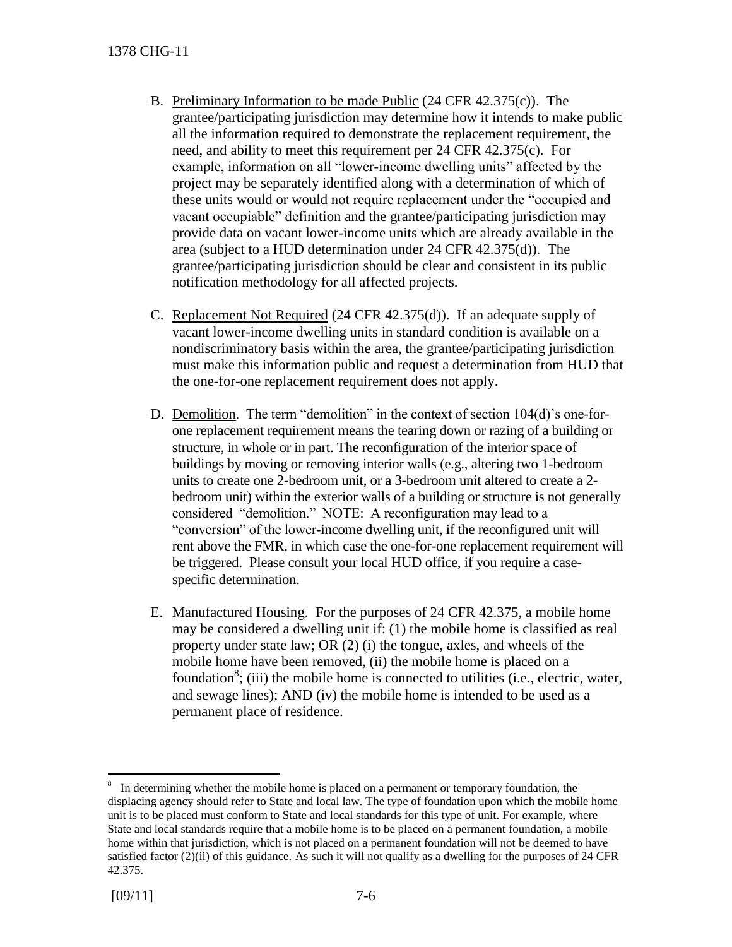- B. Preliminary Information to be made Public (24 CFR 42.375(c)). The grantee/participating jurisdiction may determine how it intends to make public all the information required to demonstrate the replacement requirement, the need, and ability to meet this requirement per 24 CFR 42.375(c). For example, information on all "lower-income dwelling units" affected by the project may be separately identified along with a determination of which of these units would or would not require replacement under the "occupied and vacant occupiable" definition and the grantee/participating jurisdiction may provide data on vacant lower-income units which are already available in the area (subject to a HUD determination under 24 CFR 42.375(d)). The grantee/participating jurisdiction should be clear and consistent in its public notification methodology for all affected projects.
- C. Replacement Not Required (24 CFR 42.375(d)). If an adequate supply of vacant lower-income dwelling units in standard condition is available on a nondiscriminatory basis within the area, the grantee/participating jurisdiction must make this information public and request a determination from HUD that the one-for-one replacement requirement does not apply.
- D. Demolition. The term "demolition" in the context of section 104(d)'s one-forone replacement requirement means the tearing down or razing of a building or structure, in whole or in part. The reconfiguration of the interior space of buildings by moving or removing interior walls (e.g., altering two 1-bedroom units to create one 2-bedroom unit, or a 3-bedroom unit altered to create a 2 bedroom unit) within the exterior walls of a building or structure is not generally considered "demolition." NOTE: A reconfiguration may lead to a "conversion" of the lower-income dwelling unit, if the reconfigured unit will rent above the FMR, in which case the one-for-one replacement requirement will be triggered. Please consult your local HUD office, if you require a casespecific determination.
- E. Manufactured Housing. For the purposes of 24 CFR 42.375, a mobile home may be considered a dwelling unit if: (1) the mobile home is classified as real property under state law; OR (2) (i) the tongue, axles, and wheels of the mobile home have been removed, (ii) the mobile home is placed on a foundation<sup>8</sup>; (iii) the mobile home is connected to utilities (i.e., electric, water, and sewage lines); AND (iv) the mobile home is intended to be used as a permanent place of residence.

 $\overline{a}$  $8\;\;$  In determining whether the mobile home is placed on a permanent or temporary foundation, the displacing agency should refer to State and local law. The type of foundation upon which the mobile home unit is to be placed must conform to State and local standards for this type of unit. For example, where State and local standards require that a mobile home is to be placed on a permanent foundation, a mobile home within that jurisdiction, which is not placed on a permanent foundation will not be deemed to have satisfied factor  $(2)(ii)$  of this guidance. As such it will not qualify as a dwelling for the purposes of 24 CFR 42.375.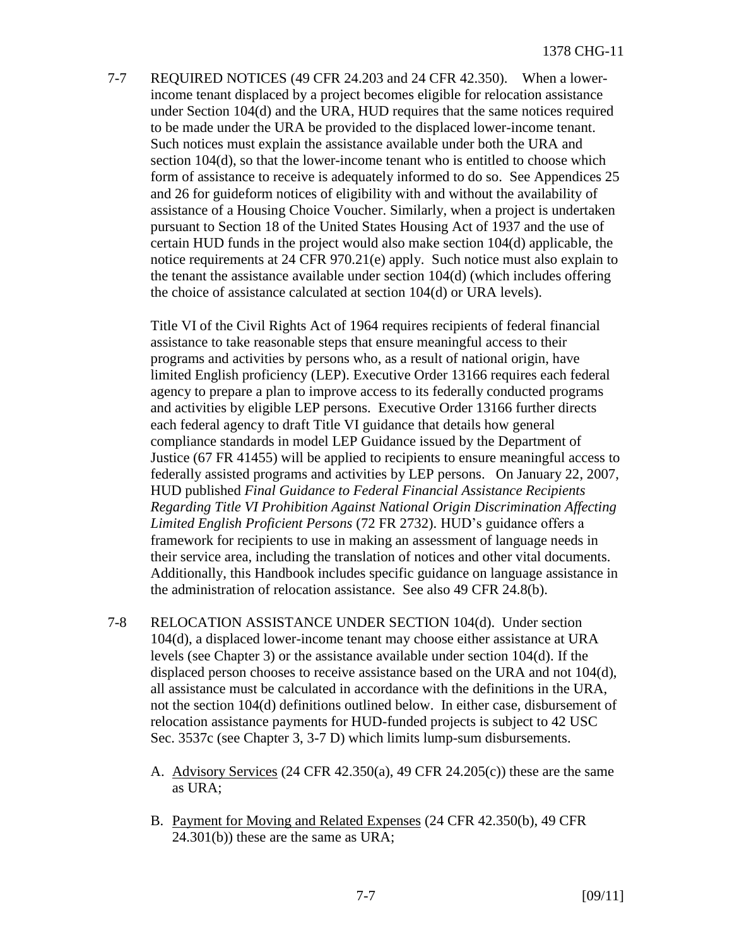7-7 REQUIRED NOTICES (49 CFR 24.203 and 24 CFR 42.350). When a lowerincome tenant displaced by a project becomes eligible for relocation assistance under Section 104(d) and the URA, HUD requires that the same notices required to be made under the URA be provided to the displaced lower-income tenant. Such notices must explain the assistance available under both the URA and section 104(d), so that the lower-income tenant who is entitled to choose which form of assistance to receive is adequately informed to do so. See Appendices 25 and 26 for guideform notices of eligibility with and without the availability of assistance of a Housing Choice Voucher. Similarly, when a project is undertaken pursuant to Section 18 of the United States Housing Act of 1937 and the use of certain HUD funds in the project would also make section 104(d) applicable, the notice requirements at 24 CFR 970.21(e) apply. Such notice must also explain to the tenant the assistance available under section 104(d) (which includes offering the choice of assistance calculated at section 104(d) or URA levels).

Title VI of the Civil Rights Act of 1964 requires recipients of federal financial assistance to take reasonable steps that ensure meaningful access to their programs and activities by persons who, as a result of national origin, have limited English proficiency (LEP). Executive Order 13166 requires each federal agency to prepare a plan to improve access to its federally conducted programs and activities by eligible LEP persons. Executive Order 13166 further directs each federal agency to draft Title VI guidance that details how general compliance standards in model LEP Guidance issued by the Department of Justice (67 FR 41455) will be applied to recipients to ensure meaningful access to federally assisted programs and activities by LEP persons. On January 22, 2007, HUD published *Final Guidance to Federal Financial Assistance Recipients Regarding Title VI Prohibition Against National Origin Discrimination Affecting Limited English Proficient Persons* (72 FR 2732). HUD's guidance offers a framework for recipients to use in making an assessment of language needs in their service area, including the translation of notices and other vital documents. Additionally, this Handbook includes specific guidance on language assistance in the administration of relocation assistance. See also 49 CFR 24.8(b).

- 7-8 RELOCATION ASSISTANCE UNDER SECTION 104(d). Under section 104(d), a displaced lower-income tenant may choose either assistance at URA levels (see Chapter 3) or the assistance available under section 104(d). If the displaced person chooses to receive assistance based on the URA and not 104(d), all assistance must be calculated in accordance with the definitions in the URA, not the section 104(d) definitions outlined below. In either case, disbursement of relocation assistance payments for HUD-funded projects is subject to 42 USC Sec. 3537c (see Chapter 3, 3-7 D) which limits lump-sum disbursements.
	- A. Advisory Services  $(24 \text{ CFR } 42.350(a), 49 \text{ CFR } 24.205(c))$  these are the same as URA;
	- B. Payment for Moving and Related Expenses (24 CFR 42.350(b), 49 CFR 24.301(b)) these are the same as URA;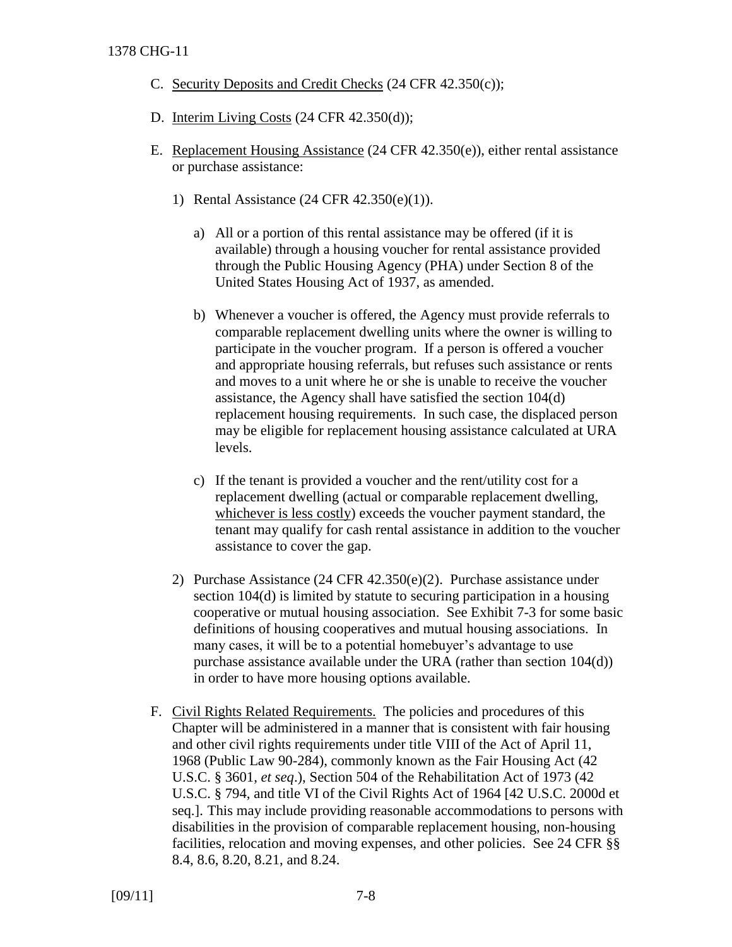- C. Security Deposits and Credit Checks (24 CFR 42.350(c));
- D. Interim Living Costs (24 CFR 42.350(d));
- E. Replacement Housing Assistance (24 CFR 42.350(e)), either rental assistance or purchase assistance:
	- 1) Rental Assistance (24 CFR 42.350(e)(1)).
		- a) All or a portion of this rental assistance may be offered (if it is available) through a housing voucher for rental assistance provided through the Public Housing Agency (PHA) under Section 8 of the United States Housing Act of 1937, as amended.
		- b) Whenever a voucher is offered, the Agency must provide referrals to comparable replacement dwelling units where the owner is willing to participate in the voucher program. If a person is offered a voucher and appropriate housing referrals, but refuses such assistance or rents and moves to a unit where he or she is unable to receive the voucher assistance, the Agency shall have satisfied the section 104(d) replacement housing requirements. In such case, the displaced person may be eligible for replacement housing assistance calculated at URA levels.
		- c) If the tenant is provided a voucher and the rent/utility cost for a replacement dwelling (actual or comparable replacement dwelling, whichever is less costly) exceeds the voucher payment standard, the tenant may qualify for cash rental assistance in addition to the voucher assistance to cover the gap.
	- 2) Purchase Assistance (24 CFR 42.350(e)(2). Purchase assistance under section 104(d) is limited by statute to securing participation in a housing cooperative or mutual housing association. See Exhibit 7-3 for some basic definitions of housing cooperatives and mutual housing associations. In many cases, it will be to a potential homebuyer's advantage to use purchase assistance available under the URA (rather than section 104(d)) in order to have more housing options available.
- F. Civil Rights Related Requirements. The policies and procedures of this Chapter will be administered in a manner that is consistent with fair housing and other civil rights requirements under title VIII of the Act of April 11, 1968 (Public Law 90-284), commonly known as the Fair Housing Act (42 U.S.C. § 3601, *et seq*.), Section 504 of the Rehabilitation Act of 1973 (42 U.S.C. § 794, and title VI of the Civil Rights Act of 1964 [42 U.S.C. 2000d et seq.]. This may include providing reasonable accommodations to persons with disabilities in the provision of comparable replacement housing, non-housing facilities, relocation and moving expenses, and other policies. See 24 CFR §§ 8.4, 8.6, 8.20, 8.21, and 8.24.